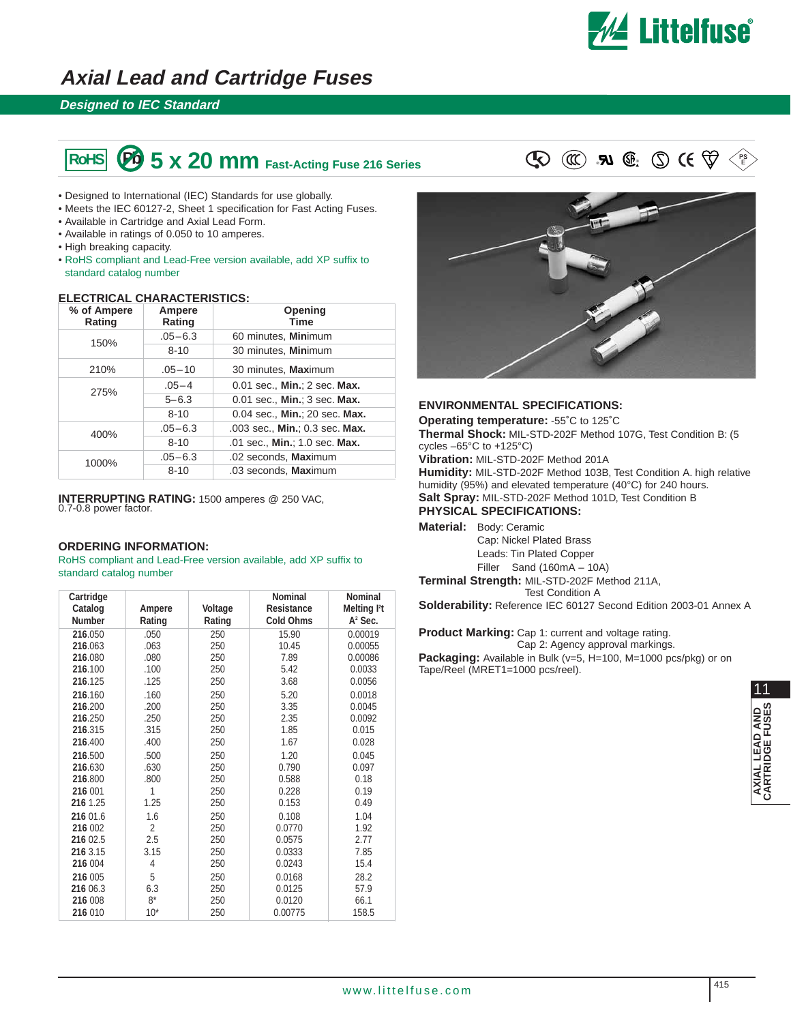

## **Axial Lead and Cartridge Fuses**

### **Designed to IEC Standard**

# **5 x 20 mm** Fast-Acting Fuse 216 Series  $\mathbb{Q} \text{ } \mathbb{Q}$  **Al**  $\mathbb{Q}$ :  $\mathbb{Q} \text{ } \mathsf{C} \mathsf{C} \ncong \mathbb{Q}$

- Designed to International (IEC) Standards for use globally.
- Meets the IEC 60127-2, Sheet 1 specification for Fast Acting Fuses.
- Available in Cartridge and Axial Lead Form.
- Available in ratings of 0.050 to 10 amperes.
- High breaking capacity.
- RoHS compliant and Lead-Free version available, add XP suffix to standard catalog number

### **ELECTRICAL CHARACTERISTICS:**

| % of Ampere<br>Rating | Ampere<br>Rating | Opening<br><b>Time</b>         |
|-----------------------|------------------|--------------------------------|
| 150%                  | $.05 - 6.3$      | 60 minutes, Minimum            |
|                       | $8 - 10$         | 30 minutes, Minimum            |
| 210%                  | $.05 - 10$       | 30 minutes, Maximum            |
| 275%                  | $.05 - 4$        | 0.01 sec., Min.; 2 sec. Max.   |
|                       | $5 - 6.3$        | 0.01 sec., Min.; 3 sec. Max.   |
|                       | $8 - 10$         | 0.04 sec., Min.; 20 sec. Max.  |
| 400%                  | $.05 - 6.3$      | .003 sec., Min.; 0.3 sec. Max. |
|                       | $8 - 10$         | .01 sec., Min.; 1.0 sec. Max.  |
| 1000%                 | $.05 - 6.3$      | .02 seconds, Maximum           |
|                       | $8 - 10$         | .03 seconds, Maximum           |

**INTERRUPTING RATING:** 1500 amperes @ 250 VAC, 0.7-0.8 power factor.

### **ORDERING INFORMATION:**

RoHS compliant and Lead-Free version available, add XP suffix to standard catalog number

| Cartridge<br>Catalog<br><b>Number</b> | Ampere<br>Rating | Voltage<br>Rating | <b>Nominal</b><br><b>Resistance</b><br><b>Cold Ohms</b> | <b>Nominal</b><br>Melting l <sup>2</sup> t<br>A <sup>2</sup> Sec. |
|---------------------------------------|------------------|-------------------|---------------------------------------------------------|-------------------------------------------------------------------|
| 216.050                               | .050             | 250               | 15.90                                                   | 0.00019                                                           |
| 216.063                               | .063             | 250               | 10.45                                                   | 0.00055                                                           |
| 216.080                               | .080             | 250               | 7.89                                                    | 0.00086                                                           |
| 216.100                               | .100             | 250               | 5.42                                                    | 0.0033                                                            |
| 216.125                               | .125             | 250               | 3.68                                                    | 0.0056                                                            |
| 216.160                               | .160             | 250               | 5.20                                                    | 0.0018                                                            |
| 216.200                               | .200             | 250               | 3.35                                                    | 0.0045                                                            |
| 216.250                               | .250             | 250               | 2.35                                                    | 0.0092                                                            |
| 216.315                               | .315             | 250               | 1.85                                                    | 0.015                                                             |
| 216.400                               | .400             | 250               | 1.67                                                    | 0.028                                                             |
| 216.500                               | .500             | 250               | 1.20                                                    | 0.045                                                             |
| 216.630                               | .630             | 250               | 0.790                                                   | 0.097                                                             |
| 216.800                               | .800             | 250               | 0.588                                                   | 0.18                                                              |
| 216 001                               | 1                | 250               | 0.228                                                   | 0.19                                                              |
| 216 1.25                              | 1.25             | 250               | 0.153                                                   | 0.49                                                              |
| 216 01.6                              | 1.6              | 250               | 0.108                                                   | 1.04                                                              |
| 216 002                               | 2                | 250               | 0.0770                                                  | 1.92                                                              |
| 216 02.5                              | 2.5              | 250               | 0.0575                                                  | 2.77                                                              |
| 216 3.15                              | 3.15             | 250               | 0.0333                                                  | 7.85                                                              |
| 216 004                               | 4                | 250               | 0.0243                                                  | 15.4                                                              |
| 216 005                               | 5                | 250               | 0.0168                                                  | 28.2                                                              |
| 216 06.3                              | 6.3              | 250               | 0.0125                                                  | 57.9                                                              |
| 216 008                               | $8*$             | 250               | 0.0120                                                  | 66.1                                                              |
| 216 010                               | $10*$            | 250               | 0.00775                                                 | 158.5                                                             |



#### **ENVIRONMENTAL SPECIFICATIONS:**

**Operating temperature:** -55˚C to 125˚C **Thermal Shock:** MIL-STD-202F Method 107G, Test Condition B: (5 cycles –65°C to +125°C)

**Vibration:** MIL-STD-202F Method 201A

**Humidity:** MIL-STD-202F Method 103B, Test Condition A. high relative humidity (95%) and elevated temperature (40°C) for 240 hours. **Salt Spray:** MIL-STD-202F Method 101D, Test Condition B **PHYSICAL SPECIFICATIONS:**

**Material:** Body: Ceramic

Cap: Nickel Plated Brass Leads: Tin Plated Copper Filler Sand (160mA – 10A) **Terminal Strength:** MIL-STD-202F Method 211A,

Test Condition A **Solderability:** Reference IEC 60127 Second Edition 2003-01 Annex A

**Product Marking:** Cap 1: current and voltage rating. Cap 2: Agency approval markings. **Packaging:** Available in Bulk (v=5, H=100, M=1000 pcs/pkg) or on

Tape/Reel (MRET1=1000 pcs/reel).